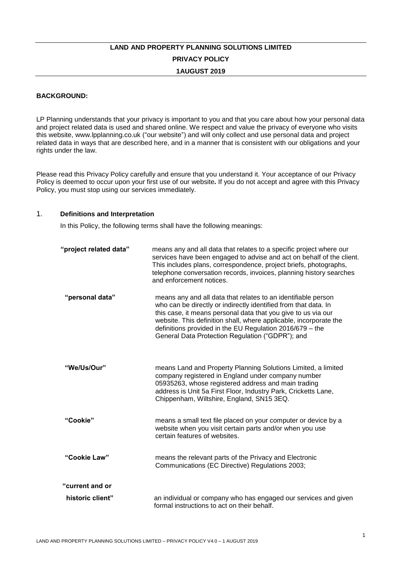# **LAND AND PROPERTY PLANNING SOLUTIONS LIMITED PRIVACY POLICY 1AUGUST 2019**

## **BACKGROUND:**

LP Planning understands that your privacy is important to you and that you care about how your personal data and project related data is used and shared online. We respect and value the privacy of everyone who visits this website, www.lpplanning.co.uk ("our website") and will only collect and use personal data and project related data in ways that are described here, and in a manner that is consistent with our obligations and your rights under the law.

Please read this Privacy Policy carefully and ensure that you understand it. Your acceptance of our Privacy Policy is deemed to occur upon your first use of our website**.** If you do not accept and agree with this Privacy Policy, you must stop using our services immediately.

#### 1. **Definitions and Interpretation**

In this Policy, the following terms shall have the following meanings:

| "project related data" | means any and all data that relates to a specific project where our<br>services have been engaged to advise and act on behalf of the client.<br>This includes plans, correspondence, project briefs, photographs,<br>telephone conversation records, invoices, planning history searches<br>and enforcement notices.                                                                   |
|------------------------|----------------------------------------------------------------------------------------------------------------------------------------------------------------------------------------------------------------------------------------------------------------------------------------------------------------------------------------------------------------------------------------|
| "personal data"        | means any and all data that relates to an identifiable person<br>who can be directly or indirectly identified from that data. In<br>this case, it means personal data that you give to us via our<br>website. This definition shall, where applicable, incorporate the<br>definitions provided in the EU Regulation 2016/679 - the<br>General Data Protection Regulation ("GDPR"); and |
| "We/Us/Our"            | means Land and Property Planning Solutions Limited, a limited<br>company registered in England under company number<br>05935263, whose registered address and main trading<br>address is Unit 5a First Floor, Industry Park, Cricketts Lane,<br>Chippenham, Wiltshire, England, SN15 3EQ.                                                                                              |
| "Cookie"               | means a small text file placed on your computer or device by a<br>website when you visit certain parts and/or when you use<br>certain features of websites.                                                                                                                                                                                                                            |
| "Cookie Law"           | means the relevant parts of the Privacy and Electronic<br>Communications (EC Directive) Regulations 2003;                                                                                                                                                                                                                                                                              |
| "current and or        |                                                                                                                                                                                                                                                                                                                                                                                        |
| historic client"       | an individual or company who has engaged our services and given<br>formal instructions to act on their behalf.                                                                                                                                                                                                                                                                         |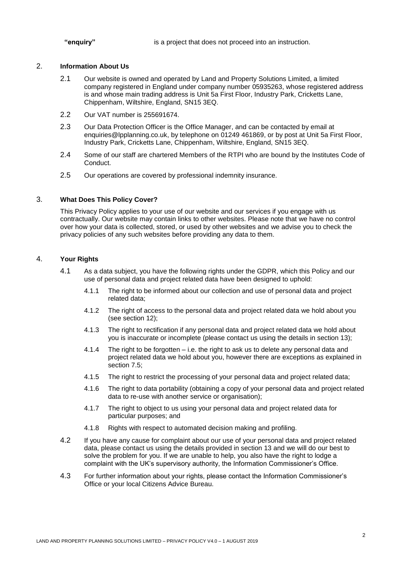**"enquiry"** is a project that does not proceed into an instruction.

#### 2. **Information About Us**

- 2.1 Our website is owned and operated by Land and Property Solutions Limited, a limited company registered in England under company number 05935263, whose registered address is and whose main trading address is Unit 5a First Floor, Industry Park, Cricketts Lane, Chippenham, Wiltshire, England, SN15 3EQ.
- 2.2 Our VAT number is 255691674.
- 2.3 Our Data Protection Officer is the Office Manager, and can be contacted by email at enquiries@lpplanning.co.uk, by telephone on 01249 461869, or by post at Unit 5a First Floor, Industry Park, Cricketts Lane, Chippenham, Wiltshire, England, SN15 3EQ.
- 2.4 Some of our staff are chartered Members of the RTPI who are bound by the Institutes Code of Conduct.
- 2.5 Our operations are covered by professional indemnity insurance.

## 3. **What Does This Policy Cover?**

This Privacy Policy applies to your use of our website and our services if you engage with us contractually. Our website may contain links to other websites. Please note that we have no control over how your data is collected, stored, or used by other websites and we advise you to check the privacy policies of any such websites before providing any data to them.

## 4. **Your Rights**

- 4.1 As a data subject, you have the following rights under the GDPR, which this Policy and our use of personal data and project related data have been designed to uphold:
	- 4.1.1 The right to be informed about our collection and use of personal data and project related data;
	- 4.1.2 The right of access to the personal data and project related data we hold about you (see section 12);
	- 4.1.3 The right to rectification if any personal data and project related data we hold about you is inaccurate or incomplete (please contact us using the details in section 13);
	- 4.1.4 The right to be forgotten i.e. the right to ask us to delete any personal data and project related data we hold about you, however there are exceptions as explained in section 7.5;
	- 4.1.5 The right to restrict the processing of your personal data and project related data;
	- 4.1.6 The right to data portability (obtaining a copy of your personal data and project related data to re-use with another service or organisation);
	- 4.1.7 The right to object to us using your personal data and project related data for particular purposes; and
	- 4.1.8 Rights with respect to automated decision making and profiling.
- 4.2 If you have any cause for complaint about our use of your personal data and project related data, please contact us using the details provided in section 13 and we will do our best to solve the problem for you. If we are unable to help, you also have the right to lodge a complaint with the UK's supervisory authority, the Information Commissioner's Office.
- 4.3 For further information about your rights, please contact the Information Commissioner's Office or your local Citizens Advice Bureau.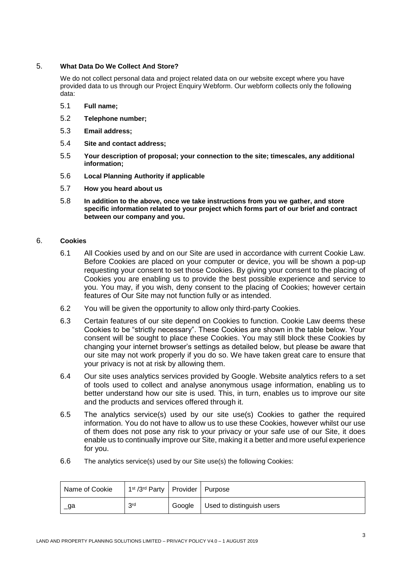## 5. **What Data Do We Collect And Store?**

We do not collect personal data and project related data on our website except where you have provided data to us through our Project Enquiry Webform. Our webform collects only the following data:

- 5.1 **Full name;**
- 5.2 **Telephone number;**
- 5.3 **Email address;**
- 5.4 **Site and contact address;**
- 5.5 **Your description of proposal; your connection to the site; timescales, any additional information;**
- 5.6 **Local Planning Authority if applicable**
- 5.7 **How you heard about us**
- 5.8 **In addition to the above, once we take instructions from you we gather, and store specific information related to your project which forms part of our brief and contract between our company and you.**

# 6. **Cookies**

- 6.1 All Cookies used by and on our Site are used in accordance with current Cookie Law. Before Cookies are placed on your computer or device, you will be shown a pop-up requesting your consent to set those Cookies. By giving your consent to the placing of Cookies you are enabling us to provide the best possible experience and service to you. You may, if you wish, deny consent to the placing of Cookies; however certain features of Our Site may not function fully or as intended.
- 6.2 You will be given the opportunity to allow only third-party Cookies.
- 6.3 Certain features of our site depend on Cookies to function. Cookie Law deems these Cookies to be "strictly necessary". These Cookies are shown in the table below. Your consent will be sought to place these Cookies. You may still block these Cookies by changing your internet browser's settings as detailed below, but please be aware that our site may not work properly if you do so. We have taken great care to ensure that your privacy is not at risk by allowing them.
- 6.4 Our site uses analytics services provided by Google. Website analytics refers to a set of tools used to collect and analyse anonymous usage information, enabling us to better understand how our site is used. This, in turn, enables us to improve our site and the products and services offered through it.
- 6.5 The analytics service(s) used by our site use(s) Cookies to gather the required information. You do not have to allow us to use these Cookies, however whilst our use of them does not pose any risk to your privacy or your safe use of our Site, it does enable us to continually improve our Site, making it a better and more useful experience for you.
- 6.6 The analytics service(s) used by our Site use(s) the following Cookies:

| Name of Cookie | 1 <sup>st</sup> /3 <sup>rd</sup> Party   Provider   Purpose |                                    |
|----------------|-------------------------------------------------------------|------------------------------------|
| _ga            | 3rd                                                         | Google   Used to distinguish users |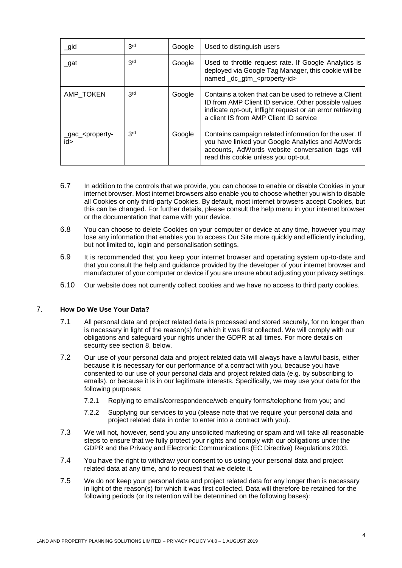| $\_$ gid                                  | 3 <sup>rd</sup> | Google | Used to distinguish users                                                                                                                                                                                             |
|-------------------------------------------|-----------------|--------|-----------------------------------------------------------------------------------------------------------------------------------------------------------------------------------------------------------------------|
| _gat                                      | 3 <sup>rd</sup> | Google | Used to throttle request rate. If Google Analytics is<br>deployed via Google Tag Manager, this cookie will be<br>named_dc_gtm_ <property-id></property-id>                                                            |
| AMP TOKEN                                 | 3 <sup>rd</sup> | Google | Contains a token that can be used to retrieve a Client<br>ID from AMP Client ID service. Other possible values<br>indicate opt-out, inflight request or an error retrieving<br>a client IS from AMP Client ID service |
| _gac_ <property-<br>id&gt;</property-<br> | 3 <sup>rd</sup> | Google | Contains campaign related information for the user. If<br>you have linked your Google Analytics and AdWords<br>accounts, AdWords website conversation tags will<br>read this cookie unless you opt-out.               |

- 6.7 In addition to the controls that we provide, you can choose to enable or disable Cookies in your internet browser. Most internet browsers also enable you to choose whether you wish to disable all Cookies or only third-party Cookies. By default, most internet browsers accept Cookies, but this can be changed. For further details, please consult the help menu in your internet browser or the documentation that came with your device.
- 6.8 You can choose to delete Cookies on your computer or device at any time, however you may lose any information that enables you to access Our Site more quickly and efficiently including, but not limited to, login and personalisation settings.
- 6.9 It is recommended that you keep your internet browser and operating system up-to-date and that you consult the help and guidance provided by the developer of your internet browser and manufacturer of your computer or device if you are unsure about adjusting your privacy settings.
- 6.10 Our website does not currently collect cookies and we have no access to third party cookies.

## 7. **How Do We Use Your Data?**

- 7.1 All personal data and project related data is processed and stored securely, for no longer than is necessary in light of the reason(s) for which it was first collected. We will comply with our obligations and safeguard your rights under the GDPR at all times. For more details on security see section 8, below.
- 7.2 Our use of your personal data and project related data will always have a lawful basis, either because it is necessary for our performance of a contract with you, because you have consented to our use of your personal data and project related data (e.g. by subscribing to emails), or because it is in our legitimate interests. Specifically, we may use your data for the following purposes:
	- 7.2.1 Replying to emails/correspondence/web enquiry forms/telephone from you; and
	- 7.2.2 Supplying our services to you (please note that we require your personal data and project related data in order to enter into a contract with you).
- 7.3 We will not, however, send you any unsolicited marketing or spam and will take all reasonable steps to ensure that we fully protect your rights and comply with our obligations under the GDPR and the Privacy and Electronic Communications (EC Directive) Regulations 2003.
- 7.4 You have the right to withdraw your consent to us using your personal data and project related data at any time, and to request that we delete it.
- 7.5 We do not keep your personal data and project related data for any longer than is necessary in light of the reason(s) for which it was first collected. Data will therefore be retained for the following periods (or its retention will be determined on the following bases):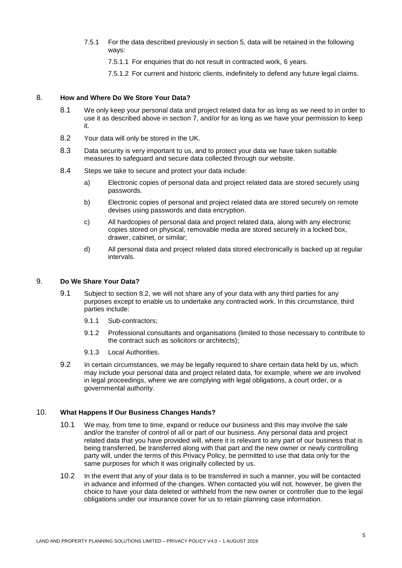7.5.1 For the data described previously in section 5, data will be retained in the following ways:

7.5.1.1 For enquiries that do not result in contracted work, 6 years.

7.5.1.2 For current and historic clients, indefinitely to defend any future legal claims.

#### 8. **How and Where Do We Store Your Data?**

- 8.1 We only keep your personal data and project related data for as long as we need to in order to use it as described above in section 7, and/or for as long as we have your permission to keep it.
- 8.2 Your data will only be stored in the UK.
- 8.3 Data security is very important to us, and to protect your data we have taken suitable measures to safeguard and secure data collected through our website.
- 8.4 Steps we take to secure and protect your data include:
	- a) Electronic copies of personal data and project related data are stored securely using passwords.
	- b) Electronic copies of personal and project related data are stored securely on remote devises using passwords and data encryption.
	- c) All hardcopies of personal data and project related data, along with any electronic copies stored on physical, removable media are stored securely in a locked box, drawer, cabinet, or similar;
	- d) All personal data and project related data stored electronically is backed up at regular intervals.

#### 9. **Do We Share Your Data?**

- 9.1 Subject to section 8.2, we will not share any of your data with any third parties for any purposes except to enable us to undertake any contracted work. In this circumstance, third parties include:
	- 9.1.1 Sub-contractors;
	- 9.1.2 Professional consultants and organisations (limited to those necessary to contribute to the contract such as solicitors or architects);
	- 9.1.3 Local Authorities.
- 9.2 In certain circumstances, we may be legally required to share certain data held by us, which may include your personal data and project related data, for example, where we are involved in legal proceedings, where we are complying with legal obligations, a court order, or a governmental authority.

# 10. **What Happens If Our Business Changes Hands?**

- 10.1 We may, from time to time, expand or reduce our business and this may involve the sale and/or the transfer of control of all or part of our business. Any personal data and project related data that you have provided will, where it is relevant to any part of our business that is being transferred, be transferred along with that part and the new owner or newly controlling party will, under the terms of this Privacy Policy, be permitted to use that data only for the same purposes for which it was originally collected by us.
- 10.2 In the event that any of your data is to be transferred in such a manner, you will be contacted in advance and informed of the changes. When contacted you will not, however, be given the choice to have your data deleted or withheld from the new owner or controller due to the legal obligations under our insurance cover for us to retain planning case information.